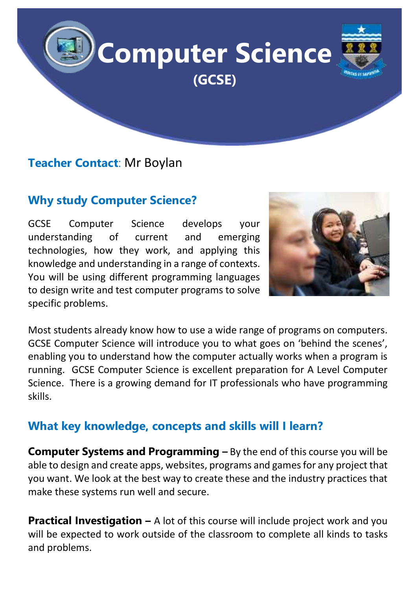

## **Teacher Contact**: Mr Boylan

# **Why study Computer Science?**

GCSE Computer Science develops your understanding of current and emerging technologies, how they work, and applying this knowledge and understanding in a range of contexts. You will be using different programming languages to design write and test computer programs to solve specific problems.



Most students already know how to use a wide range of programs on computers. GCSE Computer Science will introduce you to what goes on 'behind the scenes', enabling you to understand how the computer actually works when a program is running. GCSE Computer Science is excellent preparation for A Level Computer Science. There is a growing demand for IT professionals who have programming skills.

#### **What key knowledge, concepts and skills will I learn?**

**Computer Systems and Programming –** By the end of this course you will be able to design and create apps, websites, programs and games for any project that you want. We look at the best way to create these and the industry practices that make these systems run well and secure.

**Practical Investigation –** A lot of this course will include project work and you will be expected to work outside of the classroom to complete all kinds to tasks and problems.